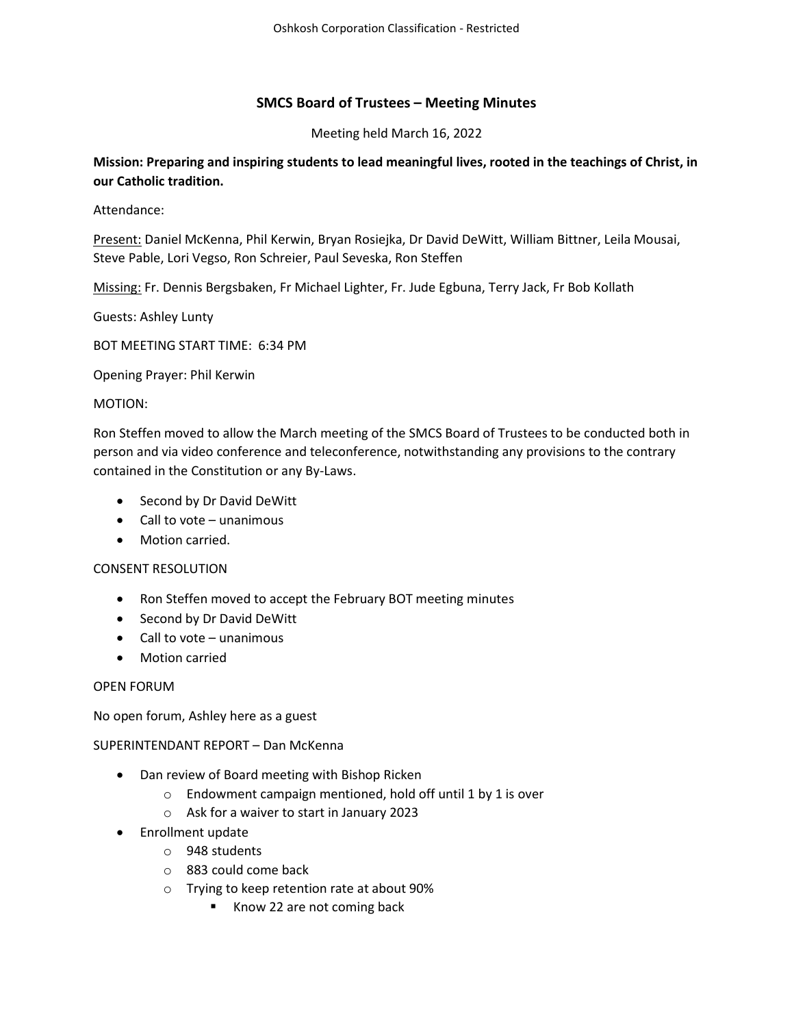# SMCS Board of Trustees – Meeting Minutes

Meeting held March 16, 2022

Mission: Preparing and inspiring students to lead meaningful lives, rooted in the teachings of Christ, in our Catholic tradition.

Attendance:

Present: Daniel McKenna, Phil Kerwin, Bryan Rosiejka, Dr David DeWitt, William Bittner, Leila Mousai, Steve Pable, Lori Vegso, Ron Schreier, Paul Seveska, Ron Steffen

Missing: Fr. Dennis Bergsbaken, Fr Michael Lighter, Fr. Jude Egbuna, Terry Jack, Fr Bob Kollath

Guests: Ashley Lunty

BOT MEETING START TIME: 6:34 PM

Opening Prayer: Phil Kerwin

### MOTION:

Ron Steffen moved to allow the March meeting of the SMCS Board of Trustees to be conducted both in person and via video conference and teleconference, notwithstanding any provisions to the contrary contained in the Constitution or any By-Laws.

- Second by Dr David DeWitt
- Call to vote unanimous
- Motion carried.

#### CONSENT RESOLUTION

- Ron Steffen moved to accept the February BOT meeting minutes
- Second by Dr David DeWitt
- $\bullet$  Call to vote unanimous
- Motion carried

#### OPEN FORUM

No open forum, Ashley here as a guest

#### SUPERINTENDANT REPORT – Dan McKenna

- Dan review of Board meeting with Bishop Ricken
	- o Endowment campaign mentioned, hold off until 1 by 1 is over
	- o Ask for a waiver to start in January 2023
- Enrollment update
	- o 948 students
	- o 883 could come back
	- o Trying to keep retention rate at about 90%
		- Know 22 are not coming back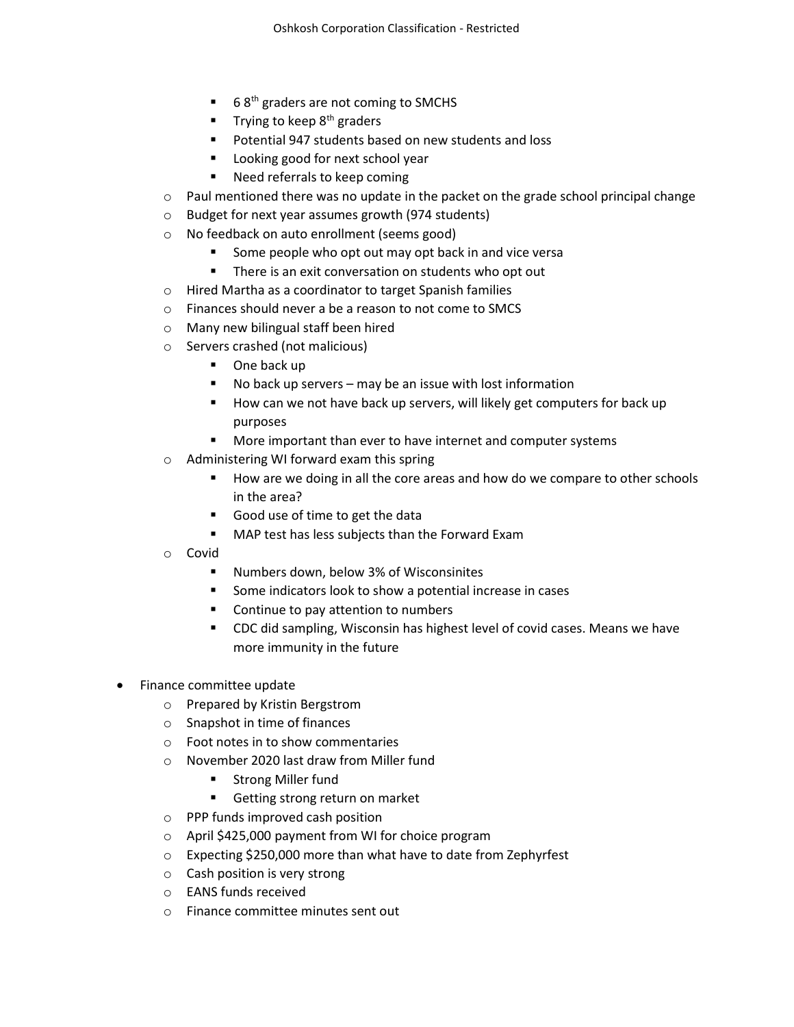- 6 8<sup>th</sup> graders are not coming to SMCHS
- Trying to keep  $8<sup>th</sup>$  graders
- Potential 947 students based on new students and loss
- **Looking good for next school year**
- Need referrals to keep coming
- o Paul mentioned there was no update in the packet on the grade school principal change
- o Budget for next year assumes growth (974 students)
- o No feedback on auto enrollment (seems good)
	- Some people who opt out may opt back in and vice versa
		- **There is an exit conversation on students who opt out**
- o Hired Martha as a coordinator to target Spanish families
- o Finances should never a be a reason to not come to SMCS
- o Many new bilingual staff been hired
- o Servers crashed (not malicious)
	- One back up
	- No back up servers may be an issue with lost information
	- How can we not have back up servers, will likely get computers for back up purposes
	- **More important than ever to have internet and computer systems**
- o Administering WI forward exam this spring
	- How are we doing in all the core areas and how do we compare to other schools in the area?
	- Good use of time to get the data
	- **MAP test has less subjects than the Forward Exam**
- o Covid
	- Numbers down, below 3% of Wisconsinites
	- Some indicators look to show a potential increase in cases
	- Continue to pay attention to numbers
	- CDC did sampling, Wisconsin has highest level of covid cases. Means we have more immunity in the future
- Finance committee update
	- o Prepared by Kristin Bergstrom
	- o Snapshot in time of finances
	- o Foot notes in to show commentaries
	- o November 2020 last draw from Miller fund
		- **Strong Miller fund**
		- Getting strong return on market
	- o PPP funds improved cash position
	- o April \$425,000 payment from WI for choice program
	- o Expecting \$250,000 more than what have to date from Zephyrfest
	- o Cash position is very strong
	- o EANS funds received
	- o Finance committee minutes sent out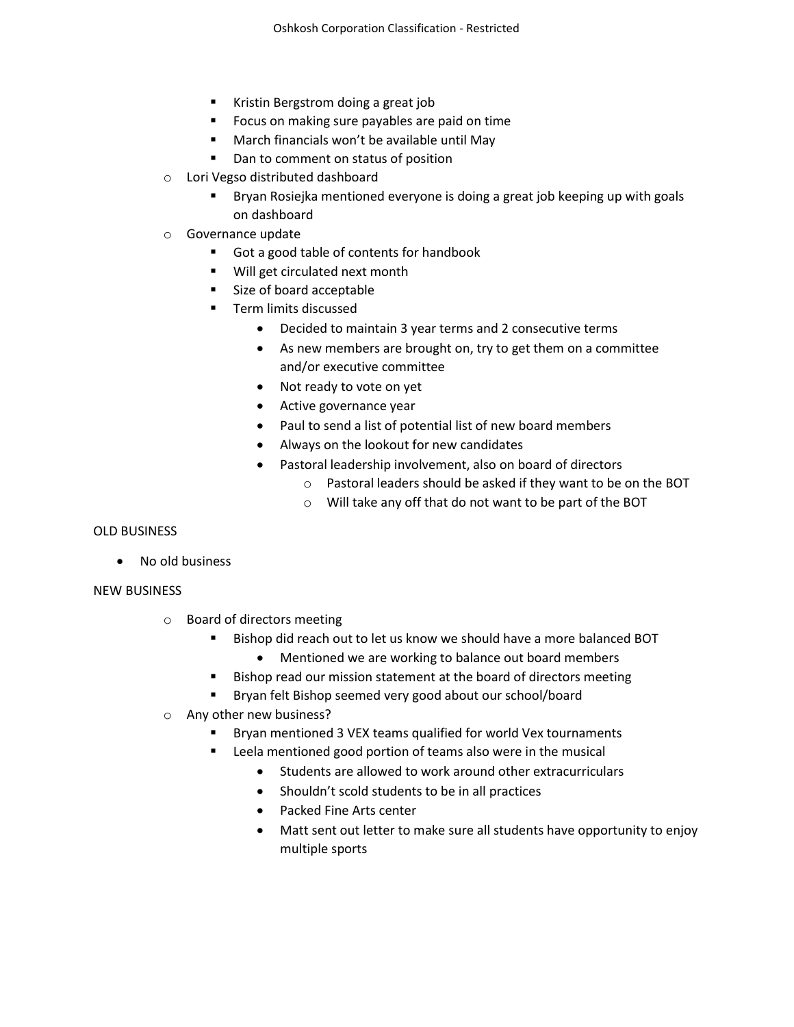- Kristin Bergstrom doing a great job
- **FICUME:** Focus on making sure payables are paid on time
- March financials won't be available until May
- Dan to comment on status of position
- o Lori Vegso distributed dashboard
	- Bryan Rosiejka mentioned everyone is doing a great job keeping up with goals on dashboard
- o Governance update
	- Got a good table of contents for handbook
	- **Will get circulated next month**
	- Size of board acceptable
	- **Term limits discussed** 
		- Decided to maintain 3 year terms and 2 consecutive terms
		- As new members are brought on, try to get them on a committee and/or executive committee
		- Not ready to vote on yet
		- Active governance year
		- Paul to send a list of potential list of new board members
		- Always on the lookout for new candidates
		- Pastoral leadership involvement, also on board of directors
			- o Pastoral leaders should be asked if they want to be on the BOT
			- o Will take any off that do not want to be part of the BOT

## OLD BUSINESS

No old business

## NEW BUSINESS

- o Board of directors meeting
	- Bishop did reach out to let us know we should have a more balanced BOT
		- Mentioned we are working to balance out board members
	- **Bishop read our mission statement at the board of directors meeting**
	- Bryan felt Bishop seemed very good about our school/board
- o Any other new business?
	- Bryan mentioned 3 VEX teams qualified for world Vex tournaments
	- Leela mentioned good portion of teams also were in the musical
		- Students are allowed to work around other extracurriculars
		- Shouldn't scold students to be in all practices
		- Packed Fine Arts center
		- Matt sent out letter to make sure all students have opportunity to enjoy multiple sports